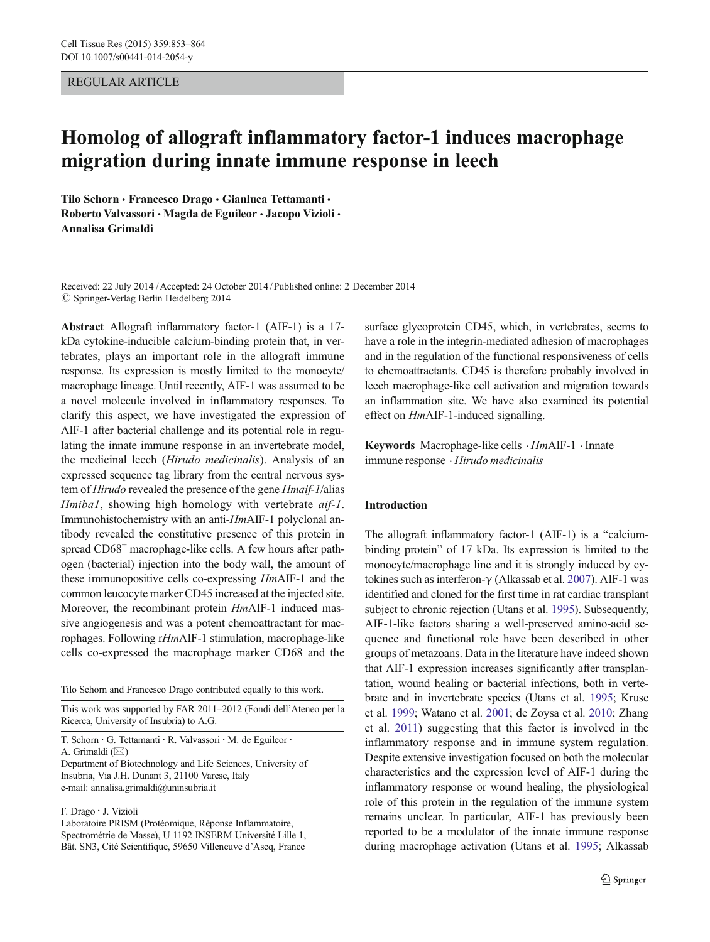## REGULAR ARTICLE

# Homolog of allograft inflammatory factor-1 induces macrophage migration during innate immune response in leech

Tilo Schorn · Francesco Drago · Gianluca Tettamanti · Roberto Valvassori · Magda de Eguileor · Jacopo Vizioli · Annalisa Grimaldi

Received: 22 July 2014 / Accepted: 24 October 2014 / Published online: 2 December 2014  $\oslash$  Springer-Verlag Berlin Heidelberg 2014

Abstract Allograft inflammatory factor-1 (AIF-1) is a 17 kDa cytokine-inducible calcium-binding protein that, in vertebrates, plays an important role in the allograft immune response. Its expression is mostly limited to the monocyte/ macrophage lineage. Until recently, AIF-1 was assumed to be a novel molecule involved in inflammatory responses. To clarify this aspect, we have investigated the expression of AIF-1 after bacterial challenge and its potential role in regulating the innate immune response in an invertebrate model, the medicinal leech (Hirudo medicinalis). Analysis of an expressed sequence tag library from the central nervous system of Hirudo revealed the presence of the gene Hmaif-1/alias Hmiba1, showing high homology with vertebrate aif-1. Immunohistochemistry with an anti-HmAIF-1 polyclonal antibody revealed the constitutive presence of this protein in spread CD68<sup>+</sup> macrophage-like cells. A few hours after pathogen (bacterial) injection into the body wall, the amount of these immunopositive cells co-expressing HmAIF-1 and the common leucocyte marker CD45 increased at the injected site. Moreover, the recombinant protein HmAIF-1 induced massive angiogenesis and was a potent chemoattractant for macrophages. Following rHmAIF-1 stimulation, macrophage-like cells co-expressed the macrophage marker CD68 and the

Tilo Schorn and Francesco Drago contributed equally to this work.

This work was supported by FAR 2011–2012 (Fondi dell'Ateneo per la Ricerca, University of Insubria) to A.G.

T. Schorn : G. Tettamanti : R. Valvassori : M. de Eguileor : A. Grimaldi  $(\boxtimes)$ Department of Biotechnology and Life Sciences, University of Insubria, Via J.H. Dunant 3, 21100 Varese, Italy

e-mail: annalisa.grimaldi@uninsubria.it

F. Drago : J. Vizioli

Laboratoire PRISM (Protéomique, Réponse Inflammatoire, Spectrométrie de Masse), U 1192 INSERM Université Lille 1, Bât. SN3, Cité Scientifique, 59650 Villeneuve d'Ascq, France

surface glycoprotein CD45, which, in vertebrates, seems to have a role in the integrin-mediated adhesion of macrophages and in the regulation of the functional responsiveness of cells to chemoattractants. CD45 is therefore probably involved in leech macrophage-like cell activation and migration towards an inflammation site. We have also examined its potential effect on HmAIF-1-induced signalling.

Keywords Macrophage-like cells . HmAIF-1 . Innate immune response . Hirudo medicinalis

## Introduction

The allograft inflammatory factor-1 (AIF-1) is a "calciumbinding protein" of 17 kDa. Its expression is limited to the monocyte/macrophage line and it is strongly induced by cytokines such as interferon-γ (Alkassab et al. [2007\)](#page-10-0). AIF-1 was identified and cloned for the first time in rat cardiac transplant subject to chronic rejection (Utans et al. [1995](#page-11-0)). Subsequently, AIF-1-like factors sharing a well-preserved amino-acid sequence and functional role have been described in other groups of metazoans. Data in the literature have indeed shown that AIF-1 expression increases significantly after transplantation, wound healing or bacterial infections, both in vertebrate and in invertebrate species (Utans et al. [1995](#page-11-0); Kruse et al. [1999;](#page-11-0) Watano et al. [2001;](#page-11-0) de Zoysa et al. [2010;](#page-11-0) Zhang et al. [2011](#page-11-0)) suggesting that this factor is involved in the inflammatory response and in immune system regulation. Despite extensive investigation focused on both the molecular characteristics and the expression level of AIF-1 during the inflammatory response or wound healing, the physiological role of this protein in the regulation of the immune system remains unclear. In particular, AIF-1 has previously been reported to be a modulator of the innate immune response during macrophage activation (Utans et al. [1995](#page-11-0); Alkassab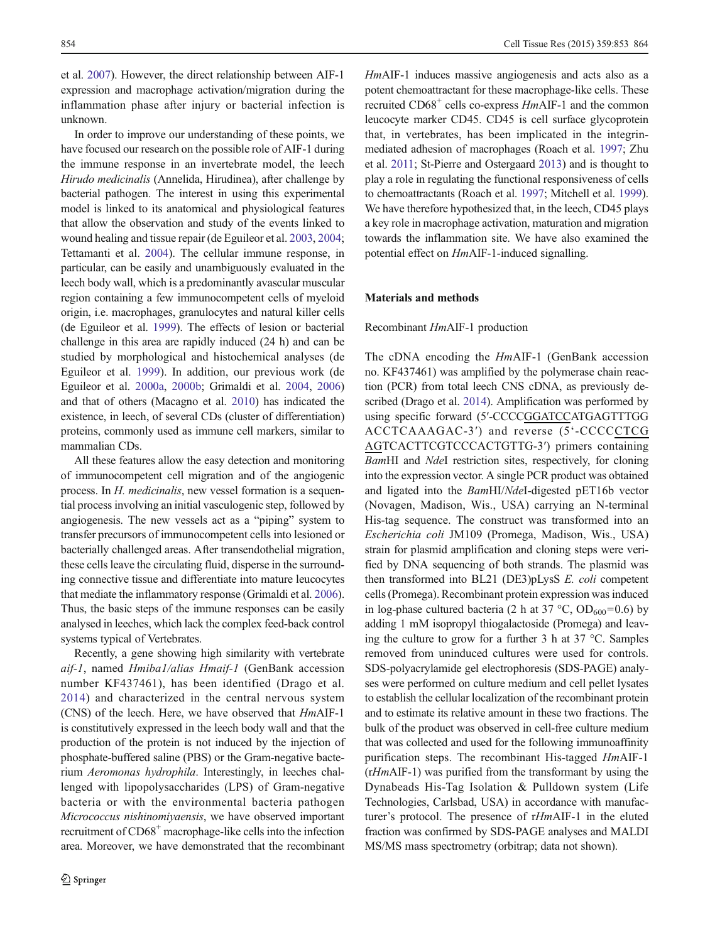et al. [2007\)](#page-10-0). However, the direct relationship between AIF-1 expression and macrophage activation/migration during the inflammation phase after injury or bacterial infection is unknown.

In order to improve our understanding of these points, we have focused our research on the possible role of AIF-1 during the immune response in an invertebrate model, the leech Hirudo medicinalis (Annelida, Hirudinea), after challenge by bacterial pathogen. The interest in using this experimental model is linked to its anatomical and physiological features that allow the observation and study of the events linked to wound healing and tissue repair (de Eguileor et al. [2003,](#page-10-0) [2004](#page-11-0); Tettamanti et al. [2004\)](#page-11-0). The cellular immune response, in particular, can be easily and unambiguously evaluated in the leech body wall, which is a predominantly avascular muscular region containing a few immunocompetent cells of myeloid origin, i.e. macrophages, granulocytes and natural killer cells (de Eguileor et al. [1999\)](#page-10-0). The effects of lesion or bacterial challenge in this area are rapidly induced (24 h) and can be studied by morphological and histochemical analyses (de Eguileor et al. [1999](#page-10-0)). In addition, our previous work (de Eguileor et al. [2000a,](#page-10-0) [2000b;](#page-10-0) Grimaldi et al. [2004,](#page-11-0) [2006\)](#page-11-0) and that of others (Macagno et al. [2010\)](#page-11-0) has indicated the existence, in leech, of several CDs (cluster of differentiation) proteins, commonly used as immune cell markers, similar to mammalian CDs.

All these features allow the easy detection and monitoring of immunocompetent cell migration and of the angiogenic process. In H. medicinalis, new vessel formation is a sequential process involving an initial vasculogenic step, followed by angiogenesis. The new vessels act as a "piping" system to transfer precursors of immunocompetent cells into lesioned or bacterially challenged areas. After transendothelial migration, these cells leave the circulating fluid, disperse in the surrounding connective tissue and differentiate into mature leucocytes that mediate the inflammatory response (Grimaldi et al. [2006\)](#page-11-0). Thus, the basic steps of the immune responses can be easily analysed in leeches, which lack the complex feed-back control systems typical of Vertebrates.

Recently, a gene showing high similarity with vertebrate aif-1, named Hmiba1/alias Hmaif-1 (GenBank accession number KF437461), has been identified (Drago et al. [2014\)](#page-11-0) and characterized in the central nervous system (CNS) of the leech. Here, we have observed that HmAIF-1 is constitutively expressed in the leech body wall and that the production of the protein is not induced by the injection of phosphate-buffered saline (PBS) or the Gram-negative bacterium Aeromonas hydrophila. Interestingly, in leeches challenged with lipopolysaccharides (LPS) of Gram-negative bacteria or with the environmental bacteria pathogen Micrococcus nishinomiyaensis, we have observed important recruitment of CD68<sup>+</sup> macrophage-like cells into the infection area. Moreover, we have demonstrated that the recombinant

HmAIF-1 induces massive angiogenesis and acts also as a potent chemoattractant for these macrophage-like cells. These recruited CD68<sup>+</sup> cells co-express HmAIF-1 and the common leucocyte marker CD45. CD45 is cell surface glycoprotein that, in vertebrates, has been implicated in the integrinmediated adhesion of macrophages (Roach et al. [1997](#page-11-0); Zhu et al. [2011](#page-11-0); St-Pierre and Ostergaard [2013\)](#page-11-0) and is thought to play a role in regulating the functional responsiveness of cells to chemoattractants (Roach et al. [1997;](#page-11-0) Mitchell et al. [1999\)](#page-11-0). We have therefore hypothesized that, in the leech, CD45 plays a key role in macrophage activation, maturation and migration towards the inflammation site. We have also examined the potential effect on HmAIF-1-induced signalling.

#### Materials and methods

## Recombinant HmAIF-1 production

The cDNA encoding the *HmAIF-1* (GenBank accession no. KF437461) was amplified by the polymerase chain reaction (PCR) from total leech CNS cDNA, as previously described (Drago et al. [2014](#page-11-0)). Amplification was performed by using specific forward (5′-CCCCGGATCCATGAGTTTGG ACCTCAAAGAC-3′) and reverse (5'-CCCCCTCG AGTCACTTCGTCCCACTGTTG-3′) primers containing BamHI and NdeI restriction sites, respectively, for cloning into the expression vector. A single PCR product was obtained and ligated into the BamHI/NdeI-digested pET16b vector (Novagen, Madison, Wis., USA) carrying an N-terminal His-tag sequence. The construct was transformed into an Escherichia coli JM109 (Promega, Madison, Wis., USA) strain for plasmid amplification and cloning steps were verified by DNA sequencing of both strands. The plasmid was then transformed into BL21 (DE3)pLysS E. coli competent cells (Promega). Recombinant protein expression was induced in log-phase cultured bacteria (2 h at 37 °C,  $OD_{600} = 0.6$ ) by adding 1 mM isopropyl thiogalactoside (Promega) and leaving the culture to grow for a further 3 h at 37 °C. Samples removed from uninduced cultures were used for controls. SDS-polyacrylamide gel electrophoresis (SDS-PAGE) analyses were performed on culture medium and cell pellet lysates to establish the cellular localization of the recombinant protein and to estimate its relative amount in these two fractions. The bulk of the product was observed in cell-free culture medium that was collected and used for the following immunoaffinity purification steps. The recombinant His-tagged HmAIF-1 (rHmAIF-1) was purified from the transformant by using the Dynabeads His-Tag Isolation & Pulldown system (Life Technologies, Carlsbad, USA) in accordance with manufacturer's protocol. The presence of rHmAIF-1 in the eluted fraction was confirmed by SDS-PAGE analyses and MALDI MS/MS mass spectrometry (orbitrap; data not shown).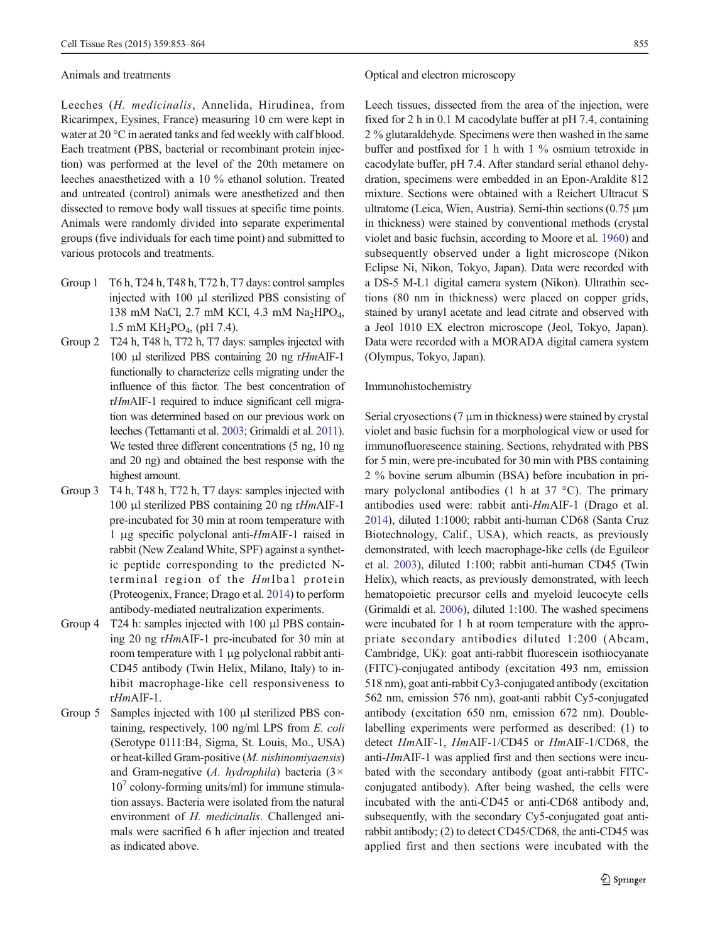#### Animals and treatments

Leeches (H. medicinalis, Annelida, Hirudinea, from Ricarimpex, Eysines, France) measuring 10 cm were kept in water at 20 °C in aerated tanks and fed weekly with calf blood. Each treatment (PBS, bacterial or recombinant protein injection) was performed at the level of the 20th metamere on leeches anaesthetized with a 10 % ethanol solution. Treated and untreated (control) animals were anesthetized and then dissected to remove body wall tissues at specific time points. Animals were randomly divided into separate experimental groups (five individuals for each time point) and submitted to various protocols and treatments.

- Group 1 T6 h, T24 h, T48 h, T72 h, T7 days: control samples injected with 100 μl sterilized PBS consisting of 138 mM NaCl, 2.7 mM KCl, 4.3 mM Na<sub>2</sub>HPO<sub>4</sub>, 1.5 mM  $KH_2PO_4$ , (pH 7.4).
- Group 2 T24 h, T48 h, T72 h, T7 days: samples injected with 100 μl sterilized PBS containing 20 ng rHmAIF-1 functionally to characterize cells migrating under the influence of this factor. The best concentration of rHmAIF-1 required to induce significant cell migration was determined based on our previous work on leeches (Tettamanti et al. [2003;](#page-11-0) Grimaldi et al. [2011\)](#page-11-0). We tested three different concentrations (5 ng, 10 ng and 20 ng) and obtained the best response with the highest amount.
- Group 3 T4 h, T48 h, T72 h, T7 days: samples injected with 100 μl sterilized PBS containing 20 ng rHmAIF-1 pre-incubated for 30 min at room temperature with 1 μg specific polyclonal anti-HmAIF-1 raised in rabbit (New Zealand White, SPF) against a synthetic peptide corresponding to the predicted Nterminal region of the HmIba1 protein (Proteogenix, France; Drago et al. [2014](#page-11-0)) to perform antibody-mediated neutralization experiments.
- Group 4 T24 h: samples injected with 100 μl PBS containing 20 ng rHmAIF-1 pre-incubated for 30 min at room temperature with 1 μg polyclonal rabbit anti-CD45 antibody (Twin Helix, Milano, Italy) to inhibit macrophage-like cell responsiveness to rHmAIF-1.
- Group 5 Samples injected with 100 μl sterilized PBS containing, respectively, 100 ng/ml LPS from E. coli (Serotype 0111:B4, Sigma, St. Louis, Mo., USA) or heat-killed Gram-positive (M. nishinomiyaensis) and Gram-negative (A. hydrophila) bacteria ( $3 \times$  $10<sup>7</sup>$  colony-forming units/ml) for immune stimulation assays. Bacteria were isolated from the natural environment of H. medicinalis. Challenged animals were sacrified 6 h after injection and treated as indicated above.

## Optical and electron microscopy

Leech tissues, dissected from the area of the injection, were fixed for 2 h in 0.1 M cacodylate buffer at pH 7.4, containing 2 % glutaraldehyde. Specimens were then washed in the same buffer and postfixed for 1 h with 1 % osmium tetroxide in cacodylate buffer, pH 7.4. After standard serial ethanol dehydration, specimens were embedded in an Epon-Araldite 812 mixture. Sections were obtained with a Reichert Ultracut S ultratome (Leica, Wien, Austria). Semi-thin sections (0.75 μm in thickness) were stained by conventional methods (crystal violet and basic fuchsin, according to Moore et al. [1960](#page-11-0)) and subsequently observed under a light microscope (Nikon Eclipse Ni, Nikon, Tokyo, Japan). Data were recorded with a DS-5 M-L1 digital camera system (Nikon). Ultrathin sections (80 nm in thickness) were placed on copper grids, stained by uranyl acetate and lead citrate and observed with a Jeol 1010 EX electron microscope (Jeol, Tokyo, Japan). Data were recorded with a MORADA digital camera system (Olympus, Tokyo, Japan).

#### Immunohistochemistry

Serial cryosections (7 μm in thickness) were stained by crystal violet and basic fuchsin for a morphological view or used for immunofluorescence staining. Sections, rehydrated with PBS for 5 min, were pre-incubated for 30 min with PBS containing 2 % bovine serum albumin (BSA) before incubation in primary polyclonal antibodies (1 h at 37 °C). The primary antibodies used were: rabbit anti-HmAIF-1 (Drago et al. [2014\)](#page-11-0), diluted 1:1000; rabbit anti-human CD68 (Santa Cruz Biotechnology, Calif., USA), which reacts, as previously demonstrated, with leech macrophage-like cells (de Eguileor et al. [2003\)](#page-10-0), diluted 1:100; rabbit anti-human CD45 (Twin Helix), which reacts, as previously demonstrated, with leech hematopoietic precursor cells and myeloid leucocyte cells (Grimaldi et al. [2006](#page-11-0)), diluted 1:100. The washed specimens were incubated for 1 h at room temperature with the appropriate secondary antibodies diluted 1:200 (Abcam, Cambridge, UK): goat anti-rabbit fluorescein isothiocyanate (FITC)-conjugated antibody (excitation 493 nm, emission 518 nm), goat anti-rabbit Cy3-conjugated antibody (excitation 562 nm, emission 576 nm), goat-anti rabbit Cy5-conjugated antibody (excitation 650 nm, emission 672 nm). Doublelabelling experiments were performed as described: (1) to detect HmAIF-1, HmAIF-1/CD45 or HmAIF-1/CD68, the anti-HmAIF-1 was applied first and then sections were incubated with the secondary antibody (goat anti-rabbit FITCconjugated antibody). After being washed, the cells were incubated with the anti-CD45 or anti-CD68 antibody and, subsequently, with the secondary Cy5-conjugated goat antirabbit antibody; (2) to detect CD45/CD68, the anti-CD45 was applied first and then sections were incubated with the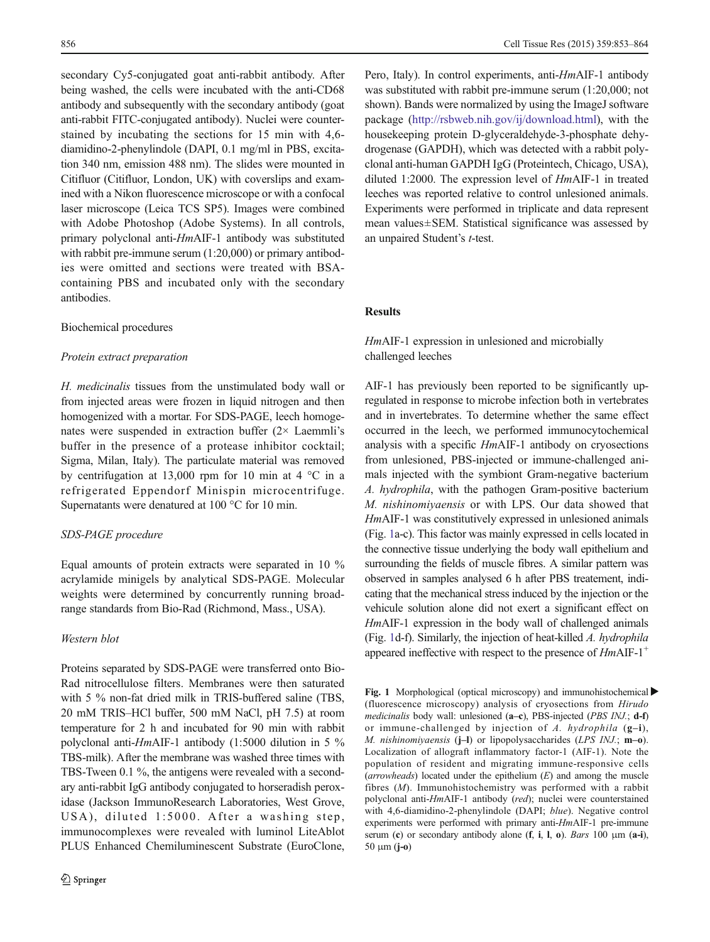secondary Cy5-conjugated goat anti-rabbit antibody. After being washed, the cells were incubated with the anti-CD68 antibody and subsequently with the secondary antibody (goat anti-rabbit FITC-conjugated antibody). Nuclei were counterstained by incubating the sections for 15 min with 4,6 diamidino-2-phenylindole (DAPI, 0.1 mg/ml in PBS, excitation 340 nm, emission 488 nm). The slides were mounted in Citifluor (Citifluor, London, UK) with coverslips and examined with a Nikon fluorescence microscope or with a confocal laser microscope (Leica TCS SP5). Images were combined with Adobe Photoshop (Adobe Systems). In all controls, primary polyclonal anti-HmAIF-1 antibody was substituted with rabbit pre-immune serum (1:20,000) or primary antibodies were omitted and sections were treated with BSAcontaining PBS and incubated only with the secondary antibodies.

#### Biochemical procedures

#### Protein extract preparation

H. medicinalis tissues from the unstimulated body wall or from injected areas were frozen in liquid nitrogen and then homogenized with a mortar. For SDS-PAGE, leech homogenates were suspended in extraction buffer (2× Laemmli's buffer in the presence of a protease inhibitor cocktail; Sigma, Milan, Italy). The particulate material was removed by centrifugation at 13,000 rpm for 10 min at 4 °C in a refrigerated Eppendorf Minispin microcentrifuge. Supernatants were denatured at 100 °C for 10 min.

## SDS-PAGE procedure

Equal amounts of protein extracts were separated in 10 % acrylamide minigels by analytical SDS-PAGE. Molecular weights were determined by concurrently running broadrange standards from Bio-Rad (Richmond, Mass., USA).

## Western blot

Proteins separated by SDS-PAGE were transferred onto Bio-Rad nitrocellulose filters. Membranes were then saturated with 5 % non-fat dried milk in TRIS-buffered saline (TBS, 20 mM TRIS–HCl buffer, 500 mM NaCl, pH 7.5) at room temperature for 2 h and incubated for 90 min with rabbit polyclonal anti-HmAIF-1 antibody (1:5000 dilution in 5 % TBS-milk). After the membrane was washed three times with TBS-Tween 0.1 %, the antigens were revealed with a secondary anti-rabbit IgG antibody conjugated to horseradish peroxidase (Jackson ImmunoResearch Laboratories, West Grove, USA), diluted 1:5000. After a washing step, immunocomplexes were revealed with luminol LiteAblot PLUS Enhanced Chemiluminescent Substrate (EuroClone,

Pero, Italy). In control experiments, anti-HmAIF-1 antibody was substituted with rabbit pre-immune serum (1:20,000; not shown). Bands were normalized by using the ImageJ software package ([http://rsbweb.nih.gov/ij/download.html\)](http://rsbweb.nih.gov/ij/download.html), with the housekeeping protein D-glyceraldehyde-3-phosphate dehydrogenase (GAPDH), which was detected with a rabbit polyclonal anti-human GAPDH IgG (Proteintech, Chicago, USA), diluted 1:2000. The expression level of HmAIF-1 in treated leeches was reported relative to control unlesioned animals. Experiments were performed in triplicate and data represent mean values±SEM. Statistical significance was assessed by an unpaired Student's t-test.

## Results

## HmAIF-1 expression in unlesioned and microbially challenged leeches

AIF-1 has previously been reported to be significantly upregulated in response to microbe infection both in vertebrates and in invertebrates. To determine whether the same effect occurred in the leech, we performed immunocytochemical analysis with a specific HmAIF-1 antibody on cryosections from unlesioned, PBS-injected or immune-challenged animals injected with the symbiont Gram-negative bacterium A. hydrophila, with the pathogen Gram-positive bacterium M. nishinomiyaensis or with LPS. Our data showed that HmAIF-1 was constitutively expressed in unlesioned animals (Fig. [1](#page-4-0)a-c). This factor was mainly expressed in cells located in the connective tissue underlying the body wall epithelium and surrounding the fields of muscle fibres. A similar pattern was observed in samples analysed 6 h after PBS treatement, indicating that the mechanical stress induced by the injection or the vehicule solution alone did not exert a significant effect on HmAIF-1 expression in the body wall of challenged animals (Fig. [1d](#page-4-0)-f). Similarly, the injection of heat-killed A. hydrophila appeared ineffective with respect to the presence of  $Hm\text{AIF-1}^+$ 

Fig. 1 Morphological (optical microscopy) and immunohistochemical (fluorescence microscopy) analysis of cryosections from Hirudo medicinalis body wall: unlesioned (a–c), PBS-injected (PBS INJ.; d-f) or immune-challenged by injection of  $A$ . hydrophila (g-i), M. nishinomiyaensis (j–l) or lipopolysaccharides (LPS INJ.; m–o). Localization of allograft inflammatory factor-1 (AIF-1). Note the population of resident and migrating immune-responsive cells (arrowheads) located under the epithelium  $(E)$  and among the muscle fibres (M). Immunohistochemistry was performed with a rabbit polyclonal anti-HmAIF-1 antibody (red); nuclei were counterstained with 4,6-diamidino-2-phenylindole (DAPI; blue). Negative control experiments were performed with primary anti-HmAIF-1 pre-immune serum (c) or secondary antibody alone  $(f, i, l, o)$ . Bars 100  $\mu$ m (a-i),  $50 \mu m$  (j-o)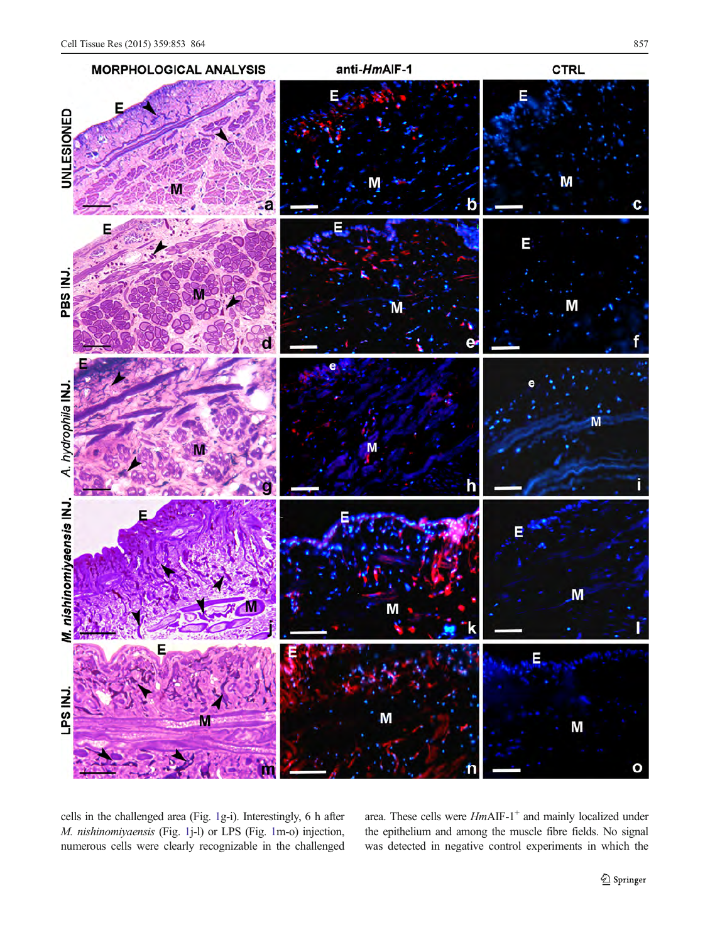<span id="page-4-0"></span>

cells in the challenged area (Fig. 1g-i). Interestingly, 6 h after M. nishinomiyaensis (Fig. 1j-l) or LPS (Fig. 1m-o) injection, numerous cells were clearly recognizable in the challenged area. These cells were  $HmAIF-1^+$  and mainly localized under the epithelium and among the muscle fibre fields. No signal was detected in negative control experiments in which the

Springer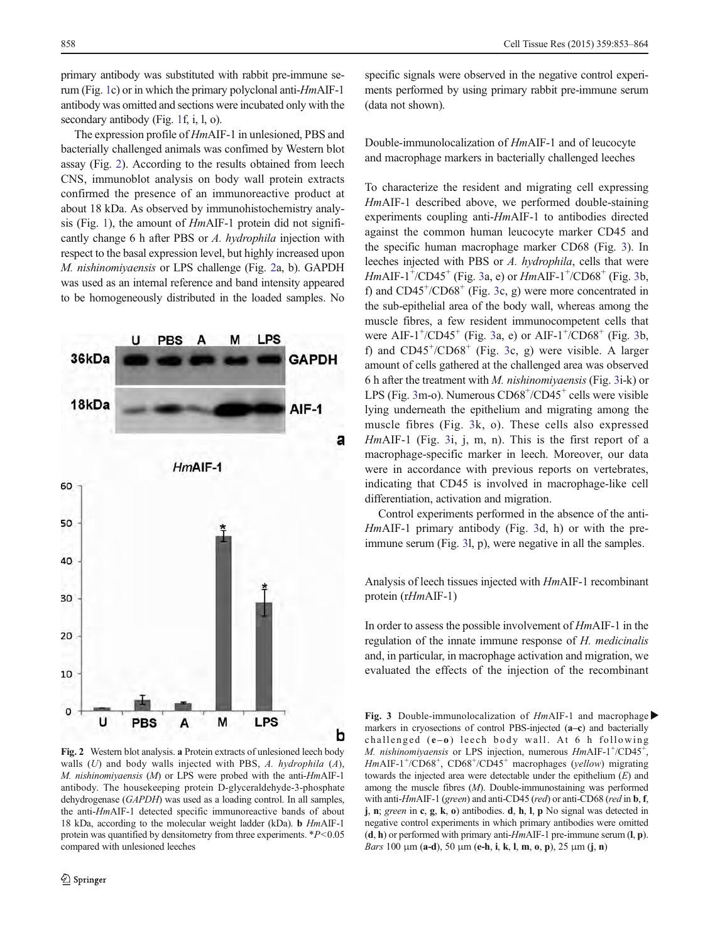primary antibody was substituted with rabbit pre-immune serum (Fig. [1](#page-4-0)c) or in which the primary polyclonal anti-HmAIF-1 antibody was omitted and sections were incubated only with the secondary antibody (Fig. [1](#page-4-0)f, i, l, o).

The expression profile of HmAIF-1 in unlesioned, PBS and bacterially challenged animals was confimed by Western blot assay (Fig. 2). According to the results obtained from leech CNS, immunoblot analysis on body wall protein extracts confirmed the presence of an immunoreactive product at about 18 kDa. As observed by immunohistochemistry analysis (Fig. [1\)](#page-4-0), the amount of HmAIF-1 protein did not significantly change 6 h after PBS or A. hydrophila injection with respect to the basal expression level, but highly increased upon M. nishinomiyaensis or LPS challenge (Fig. 2a, b). GAPDH was used as an internal reference and band intensity appeared to be homogeneously distributed in the loaded samples. No



Fig. 2 Western blot analysis. a Protein extracts of unlesioned leech body walls  $(U)$  and body walls injected with PBS, A. hydrophila  $(A)$ , M. nishinomiyaensis (M) or LPS were probed with the anti-HmAIF-1 antibody. The housekeeping protein D-glyceraldehyde-3-phosphate dehydrogenase (GAPDH) was used as a loading control. In all samples, the anti-HmAIF-1 detected specific immunoreactive bands of about 18 kDa, according to the molecular weight ladder (kDa). b HmAIF-1 protein was quantified by densitometry from three experiments.  $*P<0.05$ compared with unlesioned leeches

specific signals were observed in the negative control experiments performed by using primary rabbit pre-immune serum (data not shown).

Double-immunolocalization of HmAIF-1 and of leucocyte and macrophage markers in bacterially challenged leeches

To characterize the resident and migrating cell expressing HmAIF-1 described above, we performed double-staining experiments coupling anti-HmAIF-1 to antibodies directed against the common human leucocyte marker CD45 and the specific human macrophage marker CD68 (Fig. [3](#page-6-0)). In leeches injected with PBS or A. hydrophila, cells that were  $HmAlF-1^{+}/CD45^{+}$  (Fig. [3a](#page-6-0), e) or  $HmAlF-1^{+}/CD68^{+}$  (Fig. [3b](#page-6-0), f) and CD45<sup>+</sup>/CD68<sup>+</sup> (Fig. [3](#page-6-0)c, g) were more concentrated in the sub-epithelial area of the body wall, whereas among the muscle fibres, a few resident immunocompetent cells that were AIF-1<sup>+</sup>/CD45<sup>+</sup> (Fig. [3](#page-6-0)a, e) or AIF-1<sup>+</sup>/CD68<sup>+</sup> (Fig. [3b](#page-6-0), f) and  $CD45^{+}/CD68^{+}$  (Fig. [3](#page-6-0)c, g) were visible. A larger amount of cells gathered at the challenged area was observed 6 h after the treatment with M. nishinomiyaensis (Fig. [3](#page-6-0)i-k) or LPS (Fig. [3](#page-6-0)m-o). Numerous CD68<sup>+</sup>/CD45<sup>+</sup> cells were visible lying underneath the epithelium and migrating among the muscle fibres (Fig. [3](#page-6-0)k, o). These cells also expressed HmAIF-1 (Fig. [3](#page-6-0)i, j, m, n). This is the first report of a macrophage-specific marker in leech. Moreover, our data were in accordance with previous reports on vertebrates, indicating that CD45 is involved in macrophage-like cell differentiation, activation and migration.

Control experiments performed in the absence of the anti-HmAIF-1 primary antibody (Fig. [3d](#page-6-0), h) or with the preimmune serum (Fig. [3l](#page-6-0), p), were negative in all the samples.

Analysis of leech tissues injected with HmAIF-1 recombinant protein (rHmAIF-1)

In order to assess the possible involvement of HmAIF-1 in the regulation of the innate immune response of H. medicinalis and, in particular, in macrophage activation and migration, we evaluated the effects of the injection of the recombinant

Fig. 3 Double-immunolocalization of  $Hm$ AIF-1 and macrophage markers in cryosections of control PBS-injected (a-c) and bacterially challenged  $(e - o)$  leech body wall. At 6 h following M. nishinomiyaensis or LPS injection, numerous  $HmAIF-1+/CD45+$ HmAIF-1<sup>+</sup>/CD68<sup>+</sup>, CD68<sup>+</sup>/CD45<sup>+</sup> macrophages (yellow) migrating towards the injected area were detectable under the epithelium  $(E)$  and among the muscle fibres (M). Double-immunostaining was performed with anti-HmAIF-1 (green) and anti-CD45 (red) or anti-CD68 (red in **b**, **f**, j, n; green in c, g, k, o) antibodies. d, h, l, p No signal was detected in negative control experiments in which primary antibodies were omitted  $(d, h)$  or performed with primary anti-HmAIF-1 pre-immune serum  $(l, p)$ . Bars 100 μm (a-d), 50 μm (e-h, i, k, l, m, o, p), 25 μm (j, n)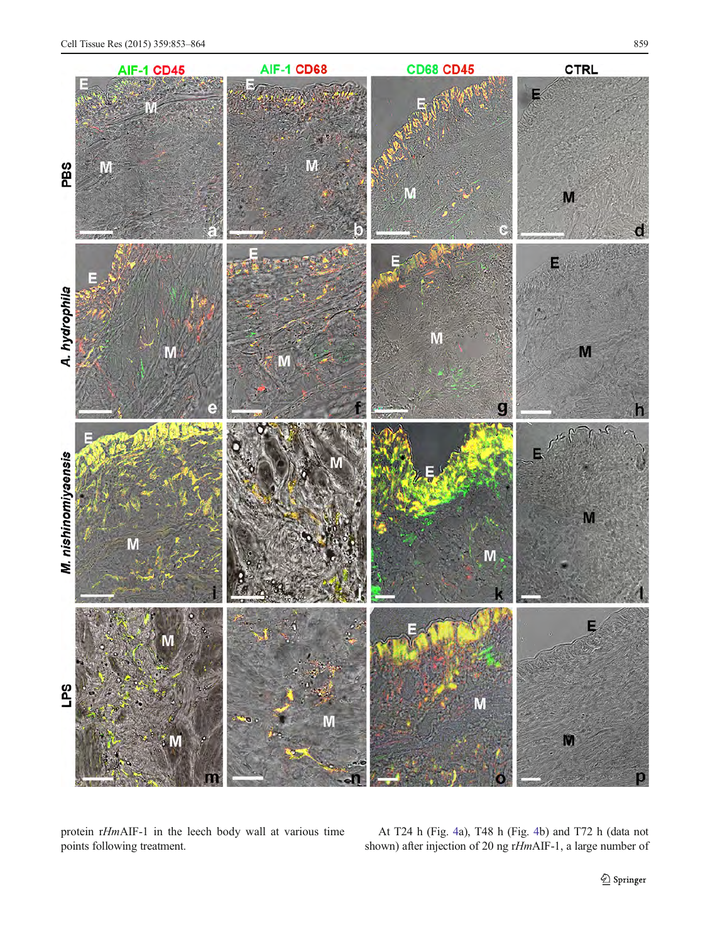<span id="page-6-0"></span>

protein rHmAIF-1 in the leech body wall at various time points following treatment.

At T24 h (Fig. [4](#page-7-0)a), T48 h (Fig. [4b](#page-7-0)) and T72 h (data not shown) after injection of 20 ng rHmAIF-1, a large number of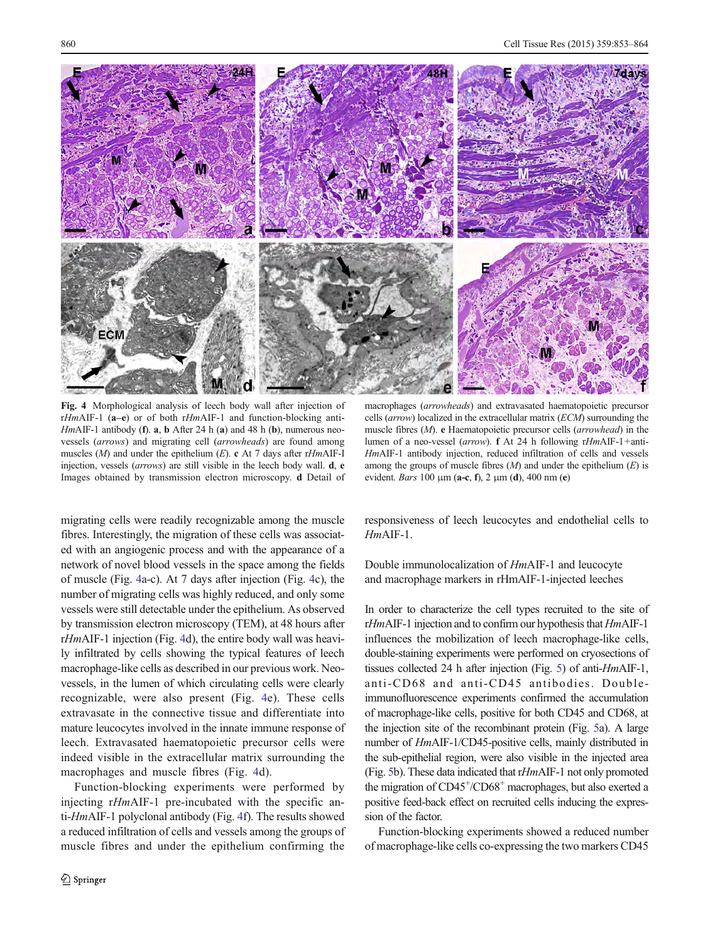<span id="page-7-0"></span>

Fig. 4 Morphological analysis of leech body wall after injection of  $rHmAIF-1$  (a–e) or of both  $rHmAIF-1$  and function-blocking anti-HmAIF-1 antibody (f).  $a$ ,  $b$  After 24 h (a) and 48 h (b), numerous neovessels (arrows) and migrating cell (arrowheads) are found among muscles  $(M)$  and under the epithelium  $(E)$ . c At 7 days after rHmAIF-I injection, vessels (arrows) are still visible in the leech body wall. d, e Images obtained by transmission electron microscopy. d Detail of

migrating cells were readily recognizable among the muscle fibres. Interestingly, the migration of these cells was associated with an angiogenic process and with the appearance of a network of novel blood vessels in the space among the fields of muscle (Fig. 4a-c). At 7 days after injection (Fig. 4c), the number of migrating cells was highly reduced, and only some vessels were still detectable under the epithelium. As observed by transmission electron microscopy (TEM), at 48 hours after rHmAIF-1 injection (Fig. 4d), the entire body wall was heavily infiltrated by cells showing the typical features of leech macrophage-like cells as described in our previous work. Neovessels, in the lumen of which circulating cells were clearly recognizable, were also present (Fig. 4e). These cells extravasate in the connective tissue and differentiate into mature leucocytes involved in the innate immune response of leech. Extravasated haematopoietic precursor cells were indeed visible in the extracellular matrix surrounding the macrophages and muscle fibres (Fig. 4d).

Function-blocking experiments were performed by injecting rHmAIF-1 pre-incubated with the specific anti-HmAIF-1 polyclonal antibody (Fig. 4f). The results showed a reduced infiltration of cells and vessels among the groups of muscle fibres and under the epithelium confirming the

macrophages (arrowheads) and extravasated haematopoietic precursor cells (arrow) localized in the extracellular matrix (ECM) surrounding the muscle fibres  $(M)$ . e Haematopoietic precursor cells (arrowhead) in the lumen of a neo-vessel (arrow). f At 24 h following rHmAIF-1+anti-HmAIF-1 antibody injection, reduced infiltration of cells and vessels among the groups of muscle fibres  $(M)$  and under the epithelium  $(E)$  is evident. Bars 100 μm (a-c, f), 2 μm (d), 400 nm (e)

responsiveness of leech leucocytes and endothelial cells to HmAIF-1.

Double immunolocalization of HmAIF-1 and leucocyte and macrophage markers in rHmAIF-1-injected leeches

In order to characterize the cell types recruited to the site of rHmAIF-1 injection and to confirm our hypothesis that HmAIF-1 influences the mobilization of leech macrophage-like cells, double-staining experiments were performed on cryosections of tissues collected 24 h after injection (Fig. [5\)](#page-8-0) of anti-HmAIF-1, anti-CD68 and anti-CD45 antibodies. Doubleimmunofluorescence experiments confirmed the accumulation of macrophage-like cells, positive for both CD45 and CD68, at the injection site of the recombinant protein (Fig. [5a](#page-8-0)). A large number of HmAIF-1/CD45-positive cells, mainly distributed in the sub-epithelial region, were also visible in the injected area (Fig. [5](#page-8-0)b). These data indicated that rHmAIF-1 not only promoted the migration of CD45<sup>+</sup>/CD68<sup>+</sup> macrophages, but also exerted a positive feed-back effect on recruited cells inducing the expression of the factor.

Function-blocking experiments showed a reduced number of macrophage-like cells co-expressing the two markers CD45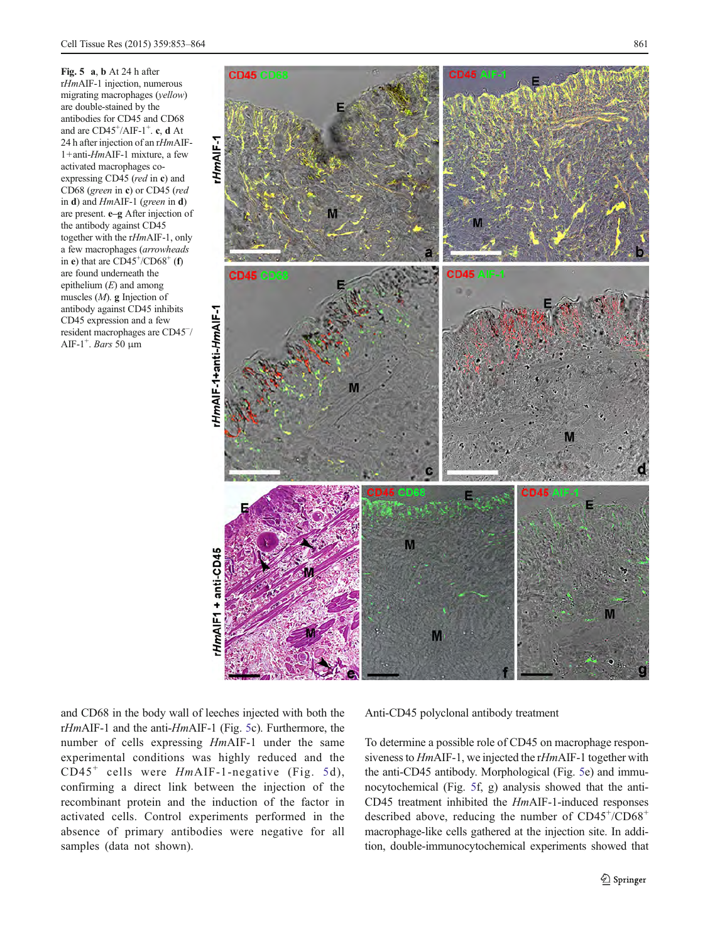<span id="page-8-0"></span>Fig. 5 a, b At 24 h after rHmAIF-1 injection, numerous migrating macrophages (yellow) are double-stained by the antibodies for CD45 and CD68 and are  $CD45^{\dagger}/AIF-1^{\dagger}$ . c, d At 24 h after injection of an rHmAIF-1+anti-HmAIF-1 mixture, a few activated macrophages coexpressing CD45 (red in c) and CD68 (green in c) or CD45 (red in  $d$ ) and  $Hm$ AIF-1 (green in  $d$ ) are present. e–g After injection of the antibody against CD45 together with the rHmAIF-1, only a few macrophages (arrowheads in e) that are  $CD45^{\dagger}/CD68^{\dagger}$  (f) are found underneath the epithelium  $(E)$  and among muscles (M). g Injection of antibody against CD45 inhibits CD45 expression and a few resident macrophages are CD45<sup>−</sup> / AIF-1<sup>+</sup>. *Bars* 50  $\mu$ m



and CD68 in the body wall of leeches injected with both the rHmAIF-1 and the anti-HmAIF-1 (Fig. 5c). Furthermore, the number of cells expressing HmAIF-1 under the same experimental conditions was highly reduced and the  $CD45<sup>+</sup>$  cells were HmAIF-1-negative (Fig. 5d), confirming a direct link between the injection of the recombinant protein and the induction of the factor in activated cells. Control experiments performed in the absence of primary antibodies were negative for all samples (data not shown).

Anti-CD45 polyclonal antibody treatment

To determine a possible role of CD45 on macrophage responsiveness to HmAIF-1, we injected the rHmAIF-1 together with the anti-CD45 antibody. Morphological (Fig. 5e) and immunocytochemical (Fig. 5f, g) analysis showed that the anti-CD45 treatment inhibited the HmAIF-1-induced responses described above, reducing the number of CD45+/CD68+ macrophage-like cells gathered at the injection site. In addition, double-immunocytochemical experiments showed that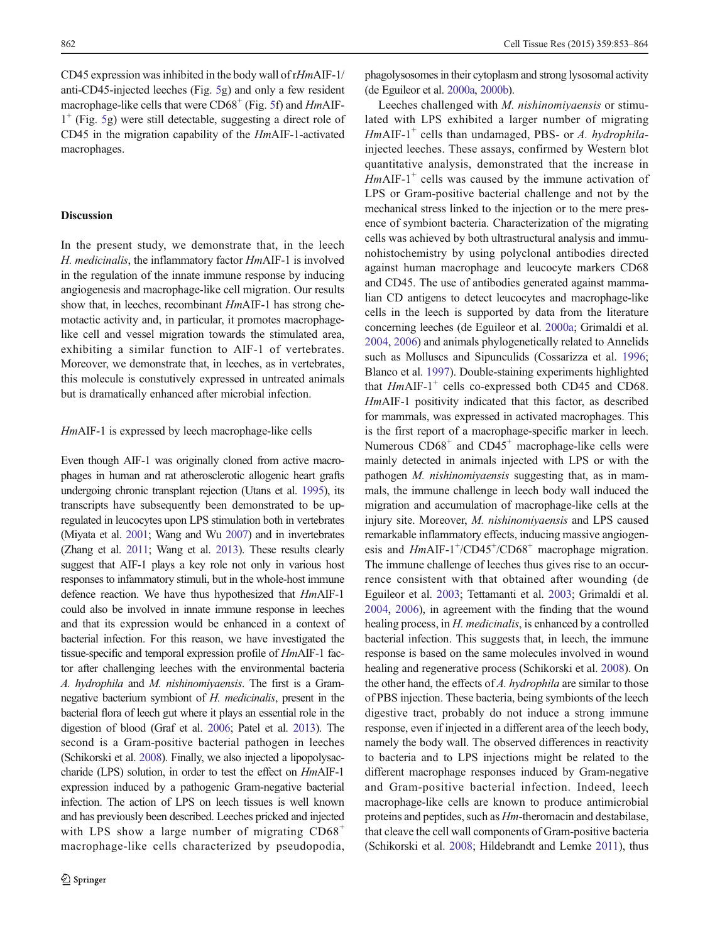CD45 expression was inhibited in the body wall of rHmAIF-1/ anti-CD45-injected leeches (Fig. [5g](#page-8-0)) and only a few resident macrophage-like cells that were  $CD68<sup>+</sup>$  (Fig. [5](#page-8-0)f) and HmAIF- $1^+$  (Fig. [5g](#page-8-0)) were still detectable, suggesting a direct role of CD45 in the migration capability of the HmAIF-1-activated macrophages.

#### **Discussion**

In the present study, we demonstrate that, in the leech H. medicinalis, the inflammatory factor HmAIF-1 is involved in the regulation of the innate immune response by inducing angiogenesis and macrophage-like cell migration. Our results show that, in leeches, recombinant HmAIF-1 has strong chemotactic activity and, in particular, it promotes macrophagelike cell and vessel migration towards the stimulated area, exhibiting a similar function to AIF-1 of vertebrates. Moreover, we demonstrate that, in leeches, as in vertebrates, this molecule is constutively expressed in untreated animals but is dramatically enhanced after microbial infection.

#### HmAIF-1 is expressed by leech macrophage-like cells

Even though AIF-1 was originally cloned from active macrophages in human and rat atherosclerotic allogenic heart grafts undergoing chronic transplant rejection (Utans et al. [1995\)](#page-11-0), its transcripts have subsequently been demonstrated to be upregulated in leucocytes upon LPS stimulation both in vertebrates (Miyata et al. [2001](#page-11-0); Wang and Wu [2007](#page-11-0)) and in invertebrates (Zhang et al. [2011;](#page-11-0) Wang et al. [2013](#page-11-0)). These results clearly suggest that AIF-1 plays a key role not only in various host responses to infammatory stimuli, but in the whole-host immune defence reaction. We have thus hypothesized that HmAIF-1 could also be involved in innate immune response in leeches and that its expression would be enhanced in a context of bacterial infection. For this reason, we have investigated the tissue-specific and temporal expression profile of HmAIF-1 factor after challenging leeches with the environmental bacteria A. hydrophila and M. nishinomiyaensis. The first is a Gramnegative bacterium symbiont of H. medicinalis, present in the bacterial flora of leech gut where it plays an essential role in the digestion of blood (Graf et al. [2006](#page-11-0); Patel et al. [2013\)](#page-11-0). The second is a Gram-positive bacterial pathogen in leeches (Schikorski et al. [2008\)](#page-11-0). Finally, we also injected a lipopolysaccharide (LPS) solution, in order to test the effect on HmAIF-1 expression induced by a pathogenic Gram-negative bacterial infection. The action of LPS on leech tissues is well known and has previously been described. Leeches pricked and injected with LPS show a large number of migrating  $CD68<sup>+</sup>$ macrophage-like cells characterized by pseudopodia,

phagolysosomes in their cytoplasm and strong lysosomal activity (de Eguileor et al. [2000a](#page-10-0), [2000b\)](#page-10-0).

Leeches challenged with M. nishinomiyaensis or stimulated with LPS exhibited a larger number of migrating HmAIF-1<sup>+</sup> cells than undamaged, PBS- or A. hydrophilainjected leeches. These assays, confirmed by Western blot quantitative analysis, demonstrated that the increase in  $Hm$ AIF-1<sup>+</sup> cells was caused by the immune activation of LPS or Gram-positive bacterial challenge and not by the mechanical stress linked to the injection or to the mere presence of symbiont bacteria. Characterization of the migrating cells was achieved by both ultrastructural analysis and immunohistochemistry by using polyclonal antibodies directed against human macrophage and leucocyte markers CD68 and CD45. The use of antibodies generated against mammalian CD antigens to detect leucocytes and macrophage-like cells in the leech is supported by data from the literature concerning leeches (de Eguileor et al. [2000a](#page-10-0); Grimaldi et al. [2004,](#page-11-0) [2006](#page-11-0)) and animals phylogenetically related to Annelids such as Molluscs and Sipunculids (Cossarizza et al. [1996;](#page-10-0) Blanco et al. [1997](#page-10-0)). Double-staining experiments highlighted that  $Hm\text{AlF-1}^+$  cells co-expressed both CD45 and CD68. HmAIF-1 positivity indicated that this factor, as described for mammals, was expressed in activated macrophages. This is the first report of a macrophage-specific marker in leech. Numerous  $CD68<sup>+</sup>$  and  $CD45<sup>+</sup>$  macrophage-like cells were mainly detected in animals injected with LPS or with the pathogen M. nishinomiyaensis suggesting that, as in mammals, the immune challenge in leech body wall induced the migration and accumulation of macrophage-like cells at the injury site. Moreover, M. nishinomiyaensis and LPS caused remarkable inflammatory effects, inducing massive angiogenesis and  $HmAlF-1+/CD45+/CD68<sup>+</sup>$  macrophage migration. The immune challenge of leeches thus gives rise to an occurrence consistent with that obtained after wounding (de Eguileor et al. [2003;](#page-10-0) Tettamanti et al. [2003;](#page-11-0) Grimaldi et al. [2004,](#page-11-0) [2006](#page-11-0)), in agreement with the finding that the wound healing process, in *H. medicinalis*, is enhanced by a controlled bacterial infection. This suggests that, in leech, the immune response is based on the same molecules involved in wound healing and regenerative process (Schikorski et al. [2008\)](#page-11-0). On the other hand, the effects of A. hydrophila are similar to those of PBS injection. These bacteria, being symbionts of the leech digestive tract, probably do not induce a strong immune response, even if injected in a different area of the leech body, namely the body wall. The observed differences in reactivity to bacteria and to LPS injections might be related to the different macrophage responses induced by Gram-negative and Gram-positive bacterial infection. Indeed, leech macrophage-like cells are known to produce antimicrobial proteins and peptides, such as Hm-theromacin and destabilase, that cleave the cell wall components of Gram-positive bacteria (Schikorski et al. [2008;](#page-11-0) Hildebrandt and Lemke [2011](#page-11-0)), thus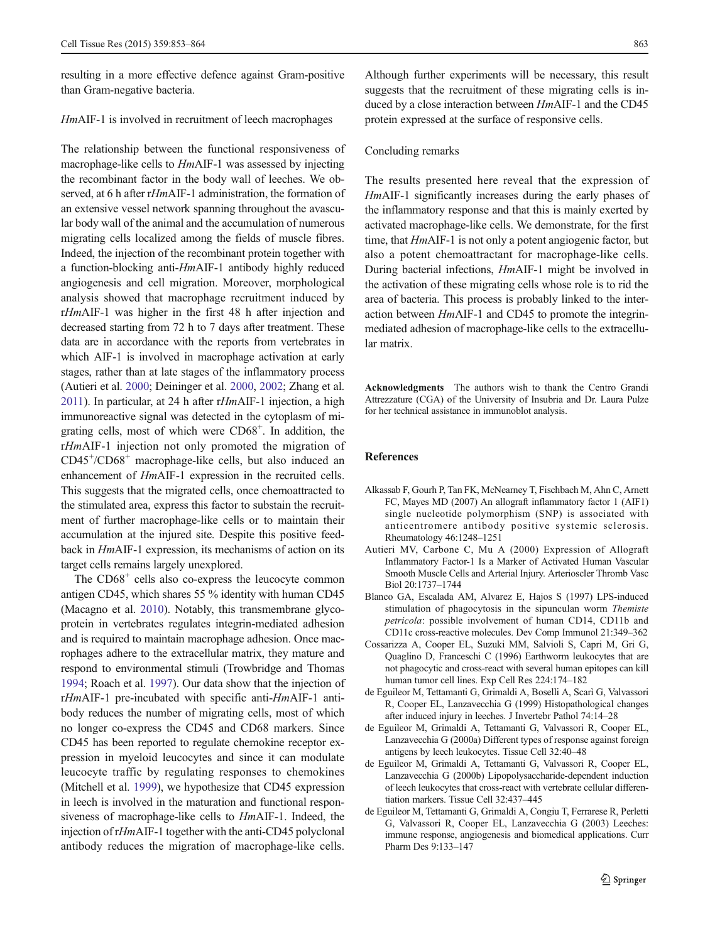<span id="page-10-0"></span>resulting in a more effective defence against Gram-positive than Gram-negative bacteria.

#### HmAIF-1 is involved in recruitment of leech macrophages

The relationship between the functional responsiveness of macrophage-like cells to HmAIF-1 was assessed by injecting the recombinant factor in the body wall of leeches. We observed, at 6 h after rHmAIF-1 administration, the formation of an extensive vessel network spanning throughout the avascular body wall of the animal and the accumulation of numerous migrating cells localized among the fields of muscle fibres. Indeed, the injection of the recombinant protein together with a function-blocking anti-HmAIF-1 antibody highly reduced angiogenesis and cell migration. Moreover, morphological analysis showed that macrophage recruitment induced by rHmAIF-1 was higher in the first 48 h after injection and decreased starting from 72 h to 7 days after treatment. These data are in accordance with the reports from vertebrates in which AIF-1 is involved in macrophage activation at early stages, rather than at late stages of the inflammatory process (Autieri et al. 2000; Deininger et al. [2000,](#page-11-0) [2002](#page-11-0); Zhang et al. [2011](#page-11-0)). In particular, at 24 h after rHmAIF-1 injection, a high immunoreactive signal was detected in the cytoplasm of migrating cells, most of which were CD68<sup>+</sup>. In addition, the rHmAIF-1 injection not only promoted the migration of CD45<sup>+</sup> /CD68+ macrophage-like cells, but also induced an enhancement of HmAIF-1 expression in the recruited cells. This suggests that the migrated cells, once chemoattracted to the stimulated area, express this factor to substain the recruitment of further macrophage-like cells or to maintain their accumulation at the injured site. Despite this positive feedback in HmAIF-1 expression, its mechanisms of action on its target cells remains largely unexplored.

The  $CD68<sup>+</sup>$  cells also co-express the leucocyte common antigen CD45, which shares 55 % identity with human CD45 (Macagno et al. [2010](#page-11-0)). Notably, this transmembrane glycoprotein in vertebrates regulates integrin-mediated adhesion and is required to maintain macrophage adhesion. Once macrophages adhere to the extracellular matrix, they mature and respond to environmental stimuli (Trowbridge and Thomas [1994;](#page-11-0) Roach et al. [1997\)](#page-11-0). Our data show that the injection of rHmAIF-1 pre-incubated with specific anti-HmAIF-1 antibody reduces the number of migrating cells, most of which no longer co-express the CD45 and CD68 markers. Since CD45 has been reported to regulate chemokine receptor expression in myeloid leucocytes and since it can modulate leucocyte traffic by regulating responses to chemokines (Mitchell et al. [1999\)](#page-11-0), we hypothesize that CD45 expression in leech is involved in the maturation and functional responsiveness of macrophage-like cells to HmAIF-1. Indeed, the injection of rHmAIF-1 together with the anti-CD45 polyclonal antibody reduces the migration of macrophage-like cells.

Although further experiments will be necessary, this result suggests that the recruitment of these migrating cells is induced by a close interaction between HmAIF-1 and the CD45 protein expressed at the surface of responsive cells.

#### Concluding remarks

The results presented here reveal that the expression of HmAIF-1 significantly increases during the early phases of the inflammatory response and that this is mainly exerted by activated macrophage-like cells. We demonstrate, for the first time, that HmAIF-1 is not only a potent angiogenic factor, but also a potent chemoattractant for macrophage-like cells. During bacterial infections, HmAIF-1 might be involved in the activation of these migrating cells whose role is to rid the area of bacteria. This process is probably linked to the interaction between HmAIF-1 and CD45 to promote the integrinmediated adhesion of macrophage-like cells to the extracellular matrix.

Acknowledgments The authors wish to thank the Centro Grandi Attrezzature (CGA) of the University of Insubria and Dr. Laura Pulze for her technical assistance in immunoblot analysis.

#### References

- Alkassab F, Gourh P, Tan FK, McNearney T, Fischbach M, Ahn C, Arnett FC, Mayes MD (2007) An allograft inflammatory factor 1 (AIF1) single nucleotide polymorphism (SNP) is associated with anticentromere antibody positive systemic sclerosis. Rheumatology 46:1248–1251
- Autieri MV, Carbone C, Mu A (2000) Expression of Allograft Inflammatory Factor-1 Is a Marker of Activated Human Vascular Smooth Muscle Cells and Arterial Injury. Arterioscler Thromb Vasc Biol 20:1737–1744
- Blanco GA, Escalada AM, Alvarez E, Hajos S (1997) LPS-induced stimulation of phagocytosis in the sipunculan worm Themiste petricola: possible involvement of human CD14, CD11b and CD11c cross-reactive molecules. Dev Comp Immunol 21:349–362
- Cossarizza A, Cooper EL, Suzuki MM, Salvioli S, Capri M, Gri G, Quaglino D, Franceschi C (1996) Earthworm leukocytes that are not phagocytic and cross-react with several human epitopes can kill human tumor cell lines. Exp Cell Res 224:174–182
- de Eguileor M, Tettamanti G, Grimaldi A, Boselli A, Scarì G, Valvassori R, Cooper EL, Lanzavecchia G (1999) Histopathological changes after induced injury in leeches. J Invertebr Pathol 74:14–28
- de Eguileor M, Grimaldi A, Tettamanti G, Valvassori R, Cooper EL, Lanzavecchia G (2000a) Different types of response against foreign antigens by leech leukocytes. Tissue Cell 32:40–48
- de Eguileor M, Grimaldi A, Tettamanti G, Valvassori R, Cooper EL, Lanzavecchia G (2000b) Lipopolysaccharide-dependent induction of leech leukocytes that cross-react with vertebrate cellular differentiation markers. Tissue Cell 32:437–445
- de Eguileor M, Tettamanti G, Grimaldi A, Congiu T, Ferrarese R, Perletti G, Valvassori R, Cooper EL, Lanzavecchia G (2003) Leeches: immune response, angiogenesis and biomedical applications. Curr Pharm Des 9:133–147